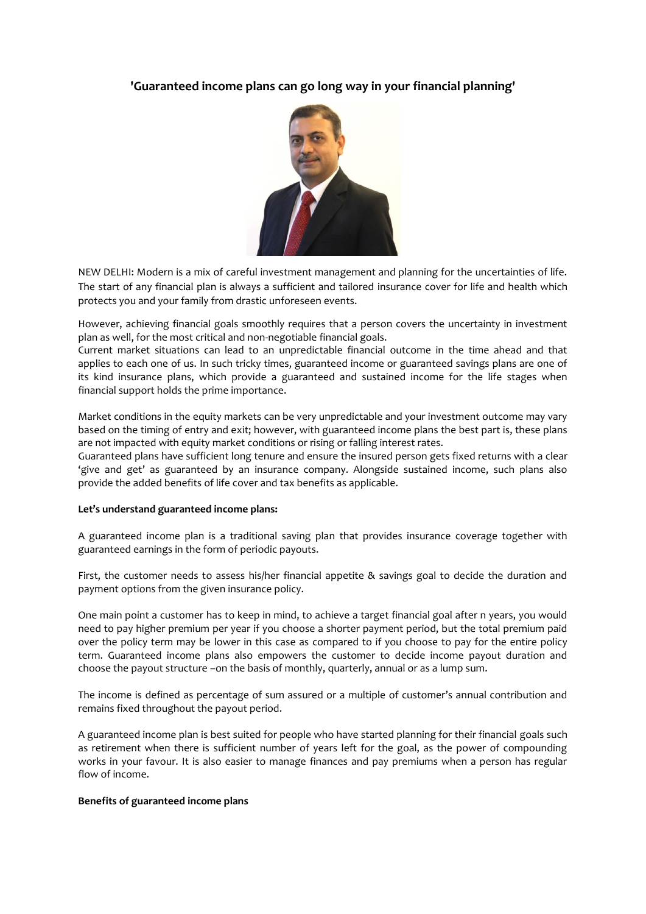# **'Guaranteed income plans can go long way in your financial planning'**



NEW DELHI: Modern is a mix of careful investment management and planning for the uncertainties of life. The start of any financial plan is always a sufficient and tailored insurance cover for life and health which protects you and your family from drastic unforeseen events.

However, achieving financial goals smoothly requires that a person covers the uncertainty in investment plan as well, for the most critical and non-negotiable financial goals.

Current market situations can lead to an unpredictable financial outcome in the time ahead and that applies to each one of us. In such tricky times, guaranteed income or guaranteed savings plans are one of its kind insurance plans, which provide a guaranteed and sustained income for the life stages when financial support holds the prime importance.

Market conditions in the equity markets can be very unpredictable and your investment outcome may vary based on the timing of entry and exit; however, with guaranteed income plans the best part is, these plans are not impacted with equity market conditions or rising or falling interest rates.

Guaranteed plans have sufficient long tenure and ensure the insured person gets fixed returns with a clear 'give and get' as guaranteed by an insurance company. Alongside sustained income, such plans also provide the added benefits of life cover and tax benefits as applicable.

### **Let's understand guaranteed income plans:**

A guaranteed income plan is a traditional saving plan that provides insurance coverage together with guaranteed earnings in the form of periodic payouts.

First, the customer needs to assess his/her financial appetite & savings goal to decide the duration and payment options from the given insurance policy.

One main point a customer has to keep in mind, to achieve a target financial goal after n years, you would need to pay higher premium per year if you choose a shorter payment period, but the total premium paid over the policy term may be lower in this case as compared to if you choose to pay for the entire policy term. Guaranteed income plans also empowers the customer to decide income payout duration and choose the payout structure –on the basis of monthly, quarterly, annual or as a lump sum.

The income is defined as percentage of sum assured or a multiple of customer's annual contribution and remains fixed throughout the payout period.

A guaranteed income plan is best suited for people who have started planning for their financial goals such as retirement when there is sufficient number of years left for the goal, as the power of compounding works in your favour. It is also easier to manage finances and pay premiums when a person has regular flow of income.

### **Benefits of guaranteed income plans**